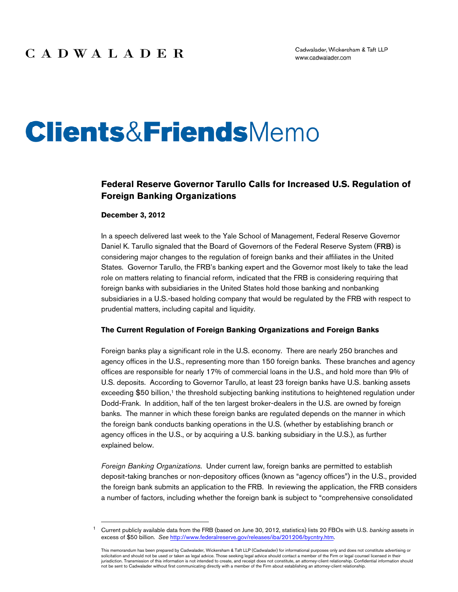# **Clients&Friends**Memo

### **Federal Reserve Governor Tarullo Calls for Increased U.S. Regulation of Foreign Banking Organizations**

#### **December 3, 2012**

In a speech delivered last week to the Yale School of Management, Federal Reserve Governor Daniel K. Tarullo signaled that the Board of Governors of the Federal Reserve System (FRB) is considering major changes to the regulation of foreign banks and their affiliates in the United States. Governor Tarullo, the FRB's banking expert and the Governor most likely to take the lead role on matters relating to financial reform, indicated that the FRB is considering requiring that foreign banks with subsidiaries in the United States hold those banking and nonbanking subsidiaries in a U.S.-based holding company that would be regulated by the FRB with respect to prudential matters, including capital and liquidity.

#### **The Current Regulation of Foreign Banking Organizations and Foreign Banks**

Foreign banks play a significant role in the U.S. economy. There are nearly 250 branches and agency offices in the U.S., representing more than 150 foreign banks. These branches and agency offices are responsible for nearly 17% of commercial loans in the U.S., and hold more than 9% of U.S. deposits. According to Governor Tarullo, at least 23 foreign banks have U.S. banking assets exceeding \$50 billion,<sup>1</sup> the threshold subjecting banking institutions to heightened regulation under Dodd-Frank. In addition, half of the ten largest broker-dealers in the U.S. are owned by foreign banks. The manner in which these foreign banks are regulated depends on the manner in which the foreign bank conducts banking operations in the U.S. (whether by establishing branch or agency offices in the U.S., or by acquiring a U.S. banking subsidiary in the U.S.), as further explained below.

*Foreign Banking Organizations.* Under current law, foreign banks are permitted to establish deposit-taking branches or non-depository offices (known as "agency offices") in the U.S., provided the foreign bank submits an application to the FRB. In reviewing the application, the FRB considers a number of factors, including whether the foreign bank is subject to "comprehensive consolidated

 <sup>1</sup> Current publicly available data from the FRB (based on June 30, 2012, statistics) lists 20 FBOs with U.S. *banking* assets in excess of \$50 billion. *See* http://www.federalreserve.gov/releases/iba/201206/bycntry.htm.

This memorandum has been prepared by Cadwalader, Wickersham & Taft LLP (Cadwalader) for informational purposes only and does not constitute advertising or solicitation and should not be used or taken as legal advice. Those seeking legal advice should contact a member of the Firm or legal counsel licensed in their jurisdiction. Transmission of this information is not intended to create, and receipt does not constitute, an attorney-client relationship. Confidential information should not be sent to Cadwalader without first communicating directly with a member of the Firm about establishing an attorney-client relationship.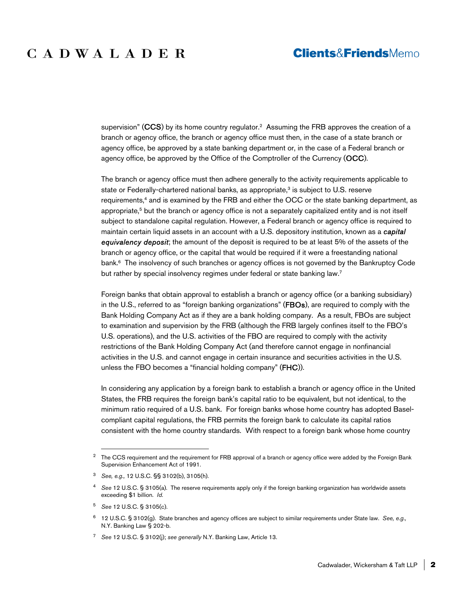supervision" (CCS) by its home country regulator.<sup>2</sup> Assuming the FRB approves the creation of a branch or agency office, the branch or agency office must then, in the case of a state branch or agency office, be approved by a state banking department or, in the case of a Federal branch or agency office, be approved by the Office of the Comptroller of the Currency (OCC).

The branch or agency office must then adhere generally to the activity requirements applicable to state or Federally-chartered national banks, as appropriate,<sup>3</sup> is subject to U.S. reserve requirements,4 and is examined by the FRB and either the OCC or the state banking department, as appropriate,<sup>5</sup> but the branch or agency office is not a separately capitalized entity and is not itself subject to standalone capital regulation. However, a Federal branch or agency office is required to maintain certain liquid assets in an account with a U.S. depository institution, known as a *capital equivalency deposit*; the amount of the deposit is required to be at least 5% of the assets of the branch or agency office, or the capital that would be required if it were a freestanding national bank.<sup>6</sup> The insolvency of such branches or agency offices is not governed by the Bankruptcy Code but rather by special insolvency regimes under federal or state banking law.<sup>7</sup>

Foreign banks that obtain approval to establish a branch or agency office (or a banking subsidiary) in the U.S., referred to as "foreign banking organizations" (FBOs), are required to comply with the Bank Holding Company Act as if they are a bank holding company. As a result, FBOs are subject to examination and supervision by the FRB (although the FRB largely confines itself to the FBO's U.S. operations), and the U.S. activities of the FBO are required to comply with the activity restrictions of the Bank Holding Company Act (and therefore cannot engage in nonfinancial activities in the U.S. and cannot engage in certain insurance and securities activities in the U.S. unless the FBO becomes a "financial holding company" (FHC)).

In considering any application by a foreign bank to establish a branch or agency office in the United States, the FRB requires the foreign bank's capital ratio to be equivalent, but not identical, to the minimum ratio required of a U.S. bank. For foreign banks whose home country has adopted Baselcompliant capital regulations, the FRB permits the foreign bank to calculate its capital ratios consistent with the home country standards. With respect to a foreign bank whose home country

<sup>&</sup>lt;sup>2</sup> The CCS requirement and the requirement for FRB approval of a branch or agency office were added by the Foreign Bank Supervision Enhancement Act of 1991.

<sup>3</sup> *See, e.g.,* 12 U.S.C. §§ 3102(b), 3105(h).

<sup>4</sup> *See* 12 U.S.C. § 3105(a). The reserve requirements apply only if the foreign banking organization has worldwide assets exceeding \$1 billion. *Id.* 

<sup>5</sup> *See* 12 U.S.C. § 3105(c).

<sup>6 12</sup> U.S.C. § 3102(g). State branches and agency offices are subject to similar requirements under State law. *See, e.g.,* N.Y. Banking Law § 202-b.

<sup>7</sup> *See* 12 U.S.C. § 3102(j); *see generally* N.Y. Banking Law, Article 13.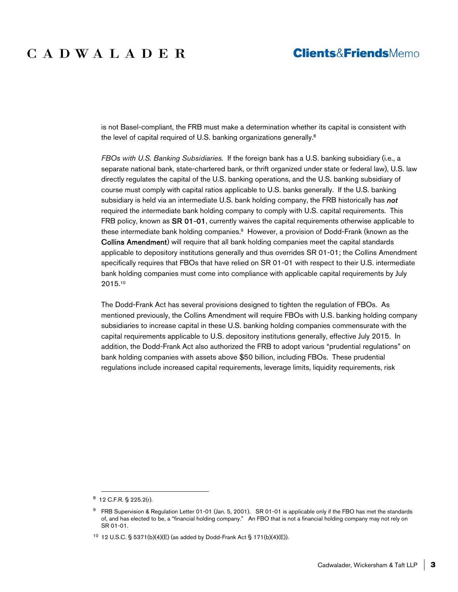## **Clients&FriendsMemo**

is not Basel-compliant, the FRB must make a determination whether its capital is consistent with the level of capital required of U.S. banking organizations generally.<sup>8</sup>

*FBOs with U.S. Banking Subsidiaries.* If the foreign bank has a U.S. banking subsidiary (i.e., a separate national bank, state-chartered bank, or thrift organized under state or federal law), U.S. law directly regulates the capital of the U.S. banking operations, and the U.S. banking subsidiary of course must comply with capital ratios applicable to U.S. banks generally. If the U.S. banking subsidiary is held via an intermediate U.S. bank holding company, the FRB historically has *not* required the intermediate bank holding company to comply with U.S. capital requirements. This FRB policy, known as SR 01-01, currently waives the capital requirements otherwise applicable to these intermediate bank holding companies.9 However, a provision of Dodd-Frank (known as the Collins Amendment) will require that all bank holding companies meet the capital standards applicable to depository institutions generally and thus overrides SR 01-01; the Collins Amendment specifically requires that FBOs that have relied on SR 01-01 with respect to their U.S. intermediate bank holding companies must come into compliance with applicable capital requirements by July 2015.10

The Dodd-Frank Act has several provisions designed to tighten the regulation of FBOs. As mentioned previously, the Collins Amendment will require FBOs with U.S. banking holding company subsidiaries to increase capital in these U.S. banking holding companies commensurate with the capital requirements applicable to U.S. depository institutions generally, effective July 2015. In addition, the Dodd-Frank Act also authorized the FRB to adopt various "prudential regulations" on bank holding companies with assets above \$50 billion, including FBOs. These prudential regulations include increased capital requirements, leverage limits, liquidity requirements, risk

 <sup>8 12</sup> C.F.R. § 225.2(r).

 $9$  FRB Supervision & Regulation Letter 01-01 (Jan. 5, 2001). SR 01-01 is applicable only if the FBO has met the standards of, and has elected to be, a "financial holding company." An FBO that is not a financial holding company may not rely on SR 01-01.

<sup>&</sup>lt;sup>10</sup> 12 U.S.C. § 5371(b)(4)(E) (as added by Dodd-Frank Act § 171(b)(4)(E)).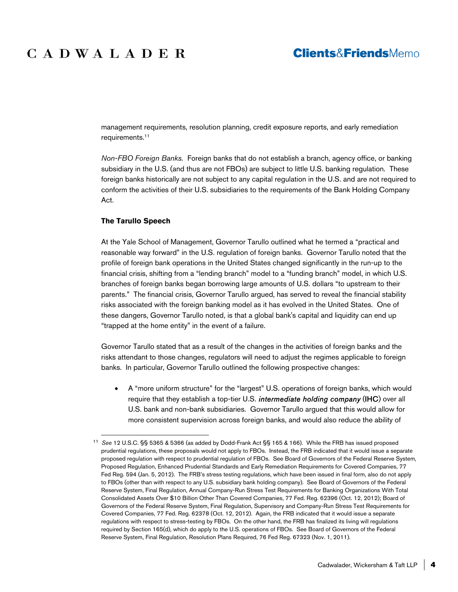## **Clients&FriendsMemo**

management requirements, resolution planning, credit exposure reports, and early remediation requirements.11

*Non-FBO Foreign Banks.* Foreign banks that do not establish a branch, agency office, or banking subsidiary in the U.S. (and thus are not FBOs) are subject to little U.S. banking regulation. These foreign banks historically are not subject to any capital regulation in the U.S. and are not required to conform the activities of their U.S. subsidiaries to the requirements of the Bank Holding Company Act.

#### **The Tarullo Speech**

At the Yale School of Management, Governor Tarullo outlined what he termed a "practical and reasonable way forward" in the U.S. regulation of foreign banks. Governor Tarullo noted that the profile of foreign bank operations in the United States changed significantly in the run-up to the financial crisis, shifting from a "lending branch" model to a "funding branch" model, in which U.S. branches of foreign banks began borrowing large amounts of U.S. dollars "to upstream to their parents." The financial crisis, Governor Tarullo argued, has served to reveal the financial stability risks associated with the foreign banking model as it has evolved in the United States. One of these dangers, Governor Tarullo noted, is that a global bank's capital and liquidity can end up "trapped at the home entity" in the event of a failure.

Governor Tarullo stated that as a result of the changes in the activities of foreign banks and the risks attendant to those changes, regulators will need to adjust the regimes applicable to foreign banks. In particular, Governor Tarullo outlined the following prospective changes:

 A "more uniform structure" for the "largest" U.S. operations of foreign banks, which would require that they establish a top-tier U.S. *intermediate holding company* (IHC) over all U.S. bank and non-bank subsidiaries. Governor Tarullo argued that this would allow for more consistent supervision across foreign banks, and would also reduce the ability of

 <sup>11</sup> *See* 12 U.S.C. §§ 5365 & 5366 (as added by Dodd-Frank Act §§ 165 & 166). While the FRB has issued proposed prudential regulations, these proposals would not apply to FBOs. Instead, the FRB indicated that it would issue a separate proposed regulation with respect to prudential regulation of FBOs. See Board of Governors of the Federal Reserve System, Proposed Regulation, Enhanced Prudential Standards and Early Remediation Requirements for Covered Companies, 77 Fed Reg. 594 (Jan. 5, 2012). The FRB's stress testing regulations, which have been issued in final form, also do not apply to FBOs (other than with respect to any U.S. subsidiary bank holding company). See Board of Governors of the Federal Reserve System, Final Regulation, Annual Company-Run Stress Test Requirements for Banking Organizations With Total Consolidated Assets Over \$10 Billion Other Than Covered Companies, 77 Fed. Reg. 62396 (Oct. 12, 2012); Board of Governors of the Federal Reserve System, Final Regulation, Supervisory and Company-Run Stress Test Requirements for Covered Companies, 77 Fed. Reg. 62378 (Oct. 12, 2012). Again, the FRB indicated that it would issue a separate regulations with respect to stress-testing by FBOs. On the other hand, the FRB has finalized its living will regulations required by Section 165(d), which do apply to the U.S. operations of FBOs. See Board of Governors of the Federal Reserve System, Final Regulation, Resolution Plans Required, 76 Fed Reg. 67323 (Nov. 1, 2011).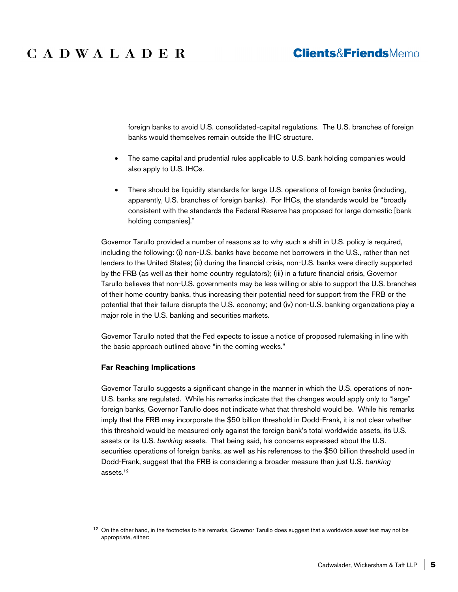## **Clients&FriendsMemo**

foreign banks to avoid U.S. consolidated-capital regulations. The U.S. branches of foreign banks would themselves remain outside the IHC structure.

- The same capital and prudential rules applicable to U.S. bank holding companies would also apply to U.S. IHCs.
- There should be liquidity standards for large U.S. operations of foreign banks (including, apparently, U.S. branches of foreign banks). For IHCs, the standards would be "broadly consistent with the standards the Federal Reserve has proposed for large domestic [bank holding companies]."

Governor Tarullo provided a number of reasons as to why such a shift in U.S. policy is required, including the following: (i) non-U.S. banks have become net borrowers in the U.S., rather than net lenders to the United States; (ii) during the financial crisis, non-U.S. banks were directly supported by the FRB (as well as their home country regulators); (iii) in a future financial crisis, Governor Tarullo believes that non-U.S. governments may be less willing or able to support the U.S. branches of their home country banks, thus increasing their potential need for support from the FRB or the potential that their failure disrupts the U.S. economy; and (iv) non-U.S. banking organizations play a major role in the U.S. banking and securities markets.

Governor Tarullo noted that the Fed expects to issue a notice of proposed rulemaking in line with the basic approach outlined above "in the coming weeks."

#### **Far Reaching Implications**

Governor Tarullo suggests a significant change in the manner in which the U.S. operations of non-U.S. banks are regulated. While his remarks indicate that the changes would apply only to "large" foreign banks, Governor Tarullo does not indicate what that threshold would be. While his remarks imply that the FRB may incorporate the \$50 billion threshold in Dodd-Frank, it is not clear whether this threshold would be measured only against the foreign bank's total worldwide assets, its U.S. assets or its U.S. *banking* assets. That being said, his concerns expressed about the U.S. securities operations of foreign banks, as well as his references to the \$50 billion threshold used in Dodd-Frank, suggest that the FRB is considering a broader measure than just U.S. *banking* assets.12

<sup>&</sup>lt;sup>12</sup> On the other hand, in the footnotes to his remarks, Governor Tarullo does suggest that a worldwide asset test may not be appropriate, either: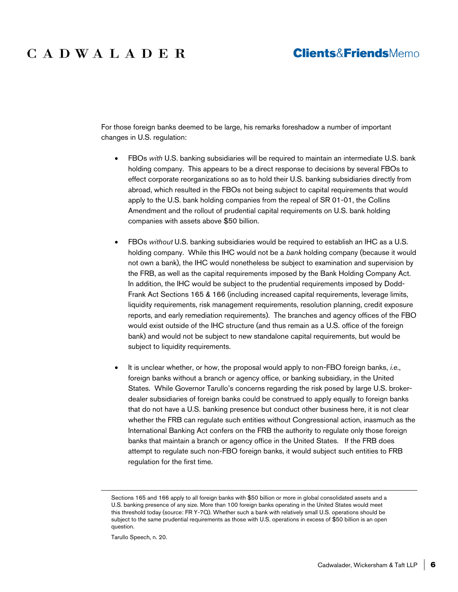## **Clients&FriendsMemo**

For those foreign banks deemed to be large, his remarks foreshadow a number of important changes in U.S. regulation:

- FBOs *with* U.S. banking subsidiaries will be required to maintain an intermediate U.S. bank holding company. This appears to be a direct response to decisions by several FBOs to effect corporate reorganizations so as to hold their U.S. banking subsidiaries directly from abroad, which resulted in the FBOs not being subject to capital requirements that would apply to the U.S. bank holding companies from the repeal of SR 01-01, the Collins Amendment and the rollout of prudential capital requirements on U.S. bank holding companies with assets above \$50 billion.
- FBOs *without* U.S. banking subsidiaries would be required to establish an IHC as a U.S. holding company. While this IHC would not be a *bank* holding company (because it would not own a bank), the IHC would nonetheless be subject to examination and supervision by the FRB, as well as the capital requirements imposed by the Bank Holding Company Act. In addition, the IHC would be subject to the prudential requirements imposed by Dodd-Frank Act Sections 165 & 166 (including increased capital requirements, leverage limits, liquidity requirements, risk management requirements, resolution planning, credit exposure reports, and early remediation requirements). The branches and agency offices of the FBO would exist outside of the IHC structure (and thus remain as a U.S. office of the foreign bank) and would not be subject to new standalone capital requirements, but would be subject to liquidity requirements.
- It is unclear whether, or how, the proposal would apply to non-FBO foreign banks, *i.e.*, foreign banks without a branch or agency office, or banking subsidiary, in the United States. While Governor Tarullo's concerns regarding the risk posed by large U.S. brokerdealer subsidiaries of foreign banks could be construed to apply equally to foreign banks that do not have a U.S. banking presence but conduct other business here, it is not clear whether the FRB can regulate such entities without Congressional action, inasmuch as the International Banking Act confers on the FRB the authority to regulate only those foreign banks that maintain a branch or agency office in the United States. If the FRB does attempt to regulate such non-FBO foreign banks, it would subject such entities to FRB regulation for the first time.

Tarullo Speech, n. 20.

1

Sections 165 and 166 apply to all foreign banks with \$50 billion or more in global consolidated assets and a U.S. banking presence of any size. More than 100 foreign banks operating in the United States would meet this threshold today (source: FR Y-7Q). Whether such a bank with relatively small U.S. operations should be subject to the same prudential requirements as those with U.S. operations in excess of \$50 billion is an open question.